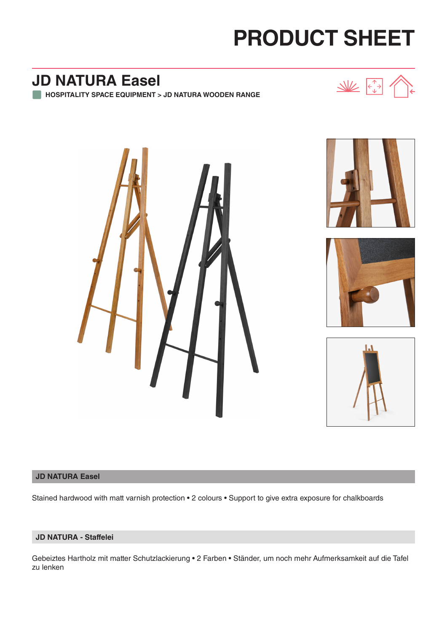# **PRODUCT SHEET**

## **JD NATURA Easel**

**HOSPITALITY SPACE EQUIPMENT > JD NATURA WOODEN RANGE**











#### **JD NATURA Easel**

Stained hardwood with matt varnish protection • 2 colours • Support to give extra exposure for chalkboards

### **JD NATURA - Staffelei**

Gebeiztes Hartholz mit matter Schutzlackierung • 2 Farben • Ständer, um noch mehr Aufmerksamkeit auf die Tafel zu lenken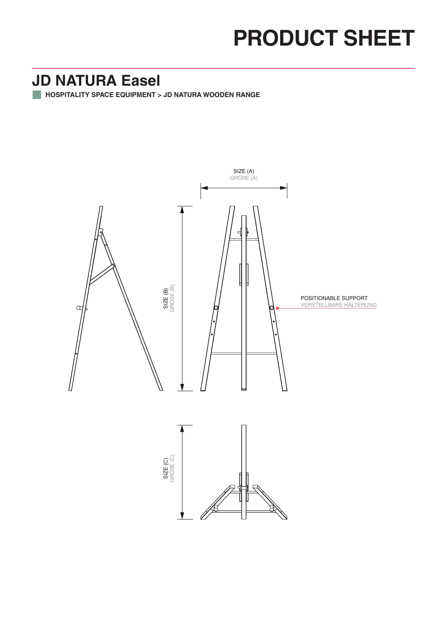## **PRODUCT SHEET**

## **JD NATURA Easel**

**HOSPITALITY SPACE EQUIPMENT > JD NATURA WOODEN RANGE**